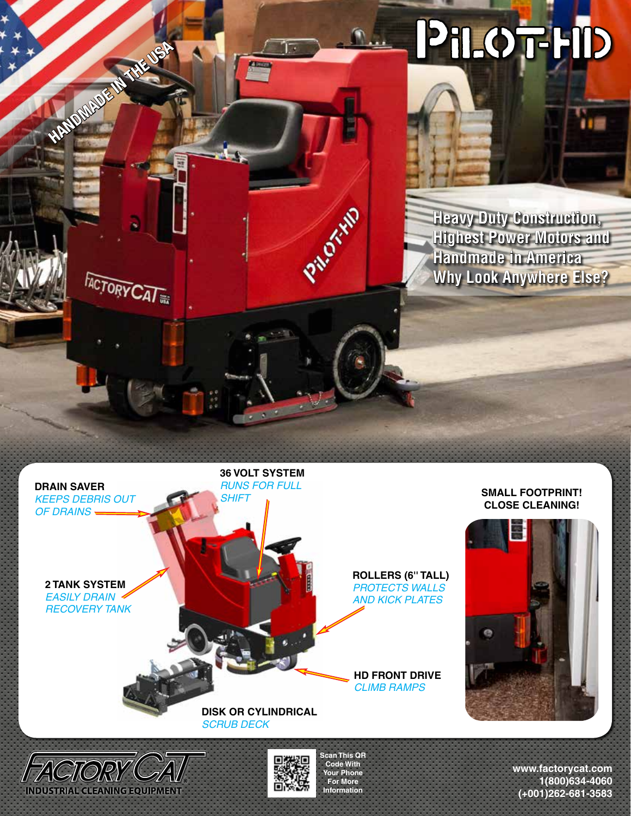



**INDUSTRIAL CLEANING EQUIPMENT** 

**Your Phone For More Information**

## **SMALL FOOTPRINT! CLOSE CLEANING!**



**www.factorycat.com 1(800)634-4060 (+001)262-681-3583**